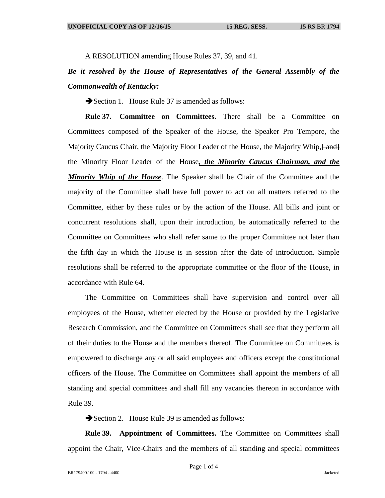A RESOLUTION amending House Rules 37, 39, and 41.

## *Be it resolved by the House of Representatives of the General Assembly of the Commonwealth of Kentucky:*

Section 1. House Rule 37 is amended as follows:

**Rule 37. Committee on Committees.** There shall be a Committee on Committees composed of the Speaker of the House, the Speaker Pro Tempore, the Majority Caucus Chair, the Majority Floor Leader of the House, the Majority Whip,  $\{$  and  $\}$ the Minority Floor Leader of the House*, the Minority Caucus Chairman, and the Minority Whip of the House*. The Speaker shall be Chair of the Committee and the majority of the Committee shall have full power to act on all matters referred to the Committee, either by these rules or by the action of the House. All bills and joint or concurrent resolutions shall, upon their introduction, be automatically referred to the Committee on Committees who shall refer same to the proper Committee not later than the fifth day in which the House is in session after the date of introduction. Simple resolutions shall be referred to the appropriate committee or the floor of the House, in accordance with Rule 64.

The Committee on Committees shall have supervision and control over all employees of the House, whether elected by the House or provided by the Legislative Research Commission, and the Committee on Committees shall see that they perform all of their duties to the House and the members thereof. The Committee on Committees is empowered to discharge any or all said employees and officers except the constitutional officers of the House. The Committee on Committees shall appoint the members of all standing and special committees and shall fill any vacancies thereon in accordance with Rule 39.

Section 2. House Rule 39 is amended as follows:

**Rule 39. Appointment of Committees.** The Committee on Committees shall appoint the Chair, Vice-Chairs and the members of all standing and special committees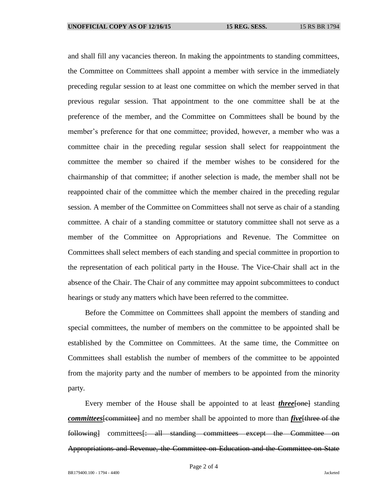and shall fill any vacancies thereon. In making the appointments to standing committees, the Committee on Committees shall appoint a member with service in the immediately preceding regular session to at least one committee on which the member served in that previous regular session. That appointment to the one committee shall be at the preference of the member, and the Committee on Committees shall be bound by the member's preference for that one committee; provided, however, a member who was a committee chair in the preceding regular session shall select for reappointment the committee the member so chaired if the member wishes to be considered for the chairmanship of that committee; if another selection is made, the member shall not be reappointed chair of the committee which the member chaired in the preceding regular session. A member of the Committee on Committees shall not serve as chair of a standing committee. A chair of a standing committee or statutory committee shall not serve as a member of the Committee on Appropriations and Revenue. The Committee on Committees shall select members of each standing and special committee in proportion to the representation of each political party in the House. The Vice-Chair shall act in the absence of the Chair. The Chair of any committee may appoint subcommittees to conduct hearings or study any matters which have been referred to the committee.

Before the Committee on Committees shall appoint the members of standing and special committees, the number of members on the committee to be appointed shall be established by the Committee on Committees. At the same time, the Committee on Committees shall establish the number of members of the committee to be appointed from the majority party and the number of members to be appointed from the minority party.

Every member of the House shall be appointed to at least *three*[one] standing *committees* [committee] and no member shall be appointed to more than *five* [three of the following committees is all standing committees except the Committee on Appropriations and Revenue, the Committee on Education and the Committee on State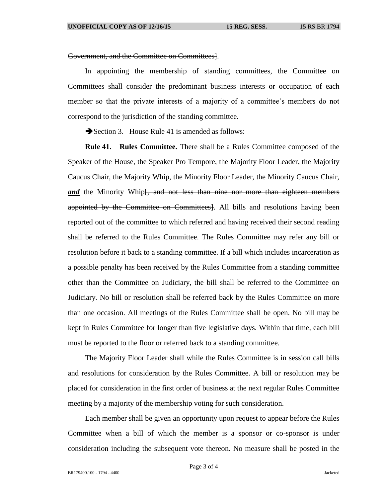## Government, and the Committee on Committees].

In appointing the membership of standing committees, the Committee on Committees shall consider the predominant business interests or occupation of each member so that the private interests of a majority of a committee's members do not correspond to the jurisdiction of the standing committee.

Section 3. House Rule 41 is amended as follows:

**Rule 41. Rules Committee.** There shall be a Rules Committee composed of the Speaker of the House, the Speaker Pro Tempore, the Majority Floor Leader, the Majority Caucus Chair, the Majority Whip, the Minority Floor Leader, the Minority Caucus Chair, and the Minority Whip<del>[, and not less than nine nor more than eighteen members</del> appointed by the Committee on Committees]. All bills and resolutions having been reported out of the committee to which referred and having received their second reading shall be referred to the Rules Committee. The Rules Committee may refer any bill or resolution before it back to a standing committee. If a bill which includes incarceration as a possible penalty has been received by the Rules Committee from a standing committee other than the Committee on Judiciary, the bill shall be referred to the Committee on Judiciary. No bill or resolution shall be referred back by the Rules Committee on more than one occasion. All meetings of the Rules Committee shall be open. No bill may be kept in Rules Committee for longer than five legislative days. Within that time, each bill must be reported to the floor or referred back to a standing committee.

The Majority Floor Leader shall while the Rules Committee is in session call bills and resolutions for consideration by the Rules Committee. A bill or resolution may be placed for consideration in the first order of business at the next regular Rules Committee meeting by a majority of the membership voting for such consideration.

Each member shall be given an opportunity upon request to appear before the Rules Committee when a bill of which the member is a sponsor or co-sponsor is under consideration including the subsequent vote thereon. No measure shall be posted in the